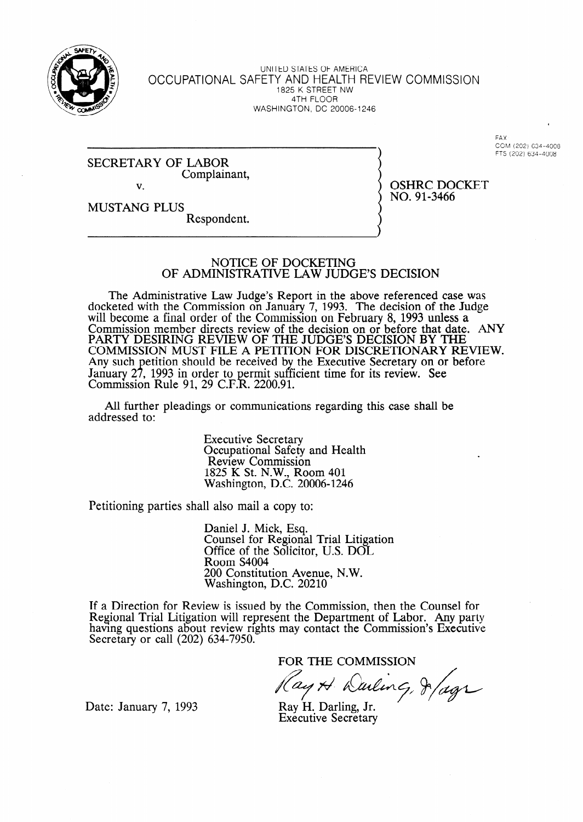

UNITED STATES OF AMERICA OCCUPATIONAL SAFETY AND HEALTH REVIEW COMMISSION 1825 K STREET NW 4TH FLOOR WASHINGTON, DC 20006-1246

> FAX CGM (202) 634-4008 FTS (202) 634-4008

SECRETARY OF LABOR Complainant, v.

OSHRC DOCKET NO. 91-3466

MUSTANG PLUS Respondent.

## NOTICE OF DOCKETING **OF ADMINISTRATIVE LAW JUDGE'S DECISION**

The Administrative Law Judge's Report in the above referenced case was docketed with the Commission on January 7, 1993. The decision of the Judge will become a final order of the Commission on February 8, 1993 unless a Commission member directs review of the decision on or before that date. ANY PARTY DESIRING REVIEW OF THE JUDGE'S DECISION BY THE COMMISSION MUST FILE A PETITION FOR DISCRETIONARY REVIEW. Any such January 27, etition should be received by the Executive Secretary on or before , 1993 in order to permit sufficient time for its review. See  $\mathbf R$ . ffi Commission Rule 91, 29 C.F.R. 2200.91.

All further pleadings or communications regarding this case shall be addressed to:

> Executive Secretary Occupational Safety and Health Review Commission 1825 K St. N.W., Room 401 Washington, D.C. 20006-1246

Petitioning parties shall also mail a copy to:

Daniel J. Mick, Esq. Counsel for Regional Trial Litigation Office of the Solicitor, U.S. DOL Room S4004 200 Constitution Avenue, N.W. Washington, D.C. 20210

If a Direction for Review is issued by the Commission, then the Counsel for Regional Trial Litigation will represent the Department of Labor. Any party having questions about review rights may contact the Commission's Executive Secretary or call (202) 634-7950.

FOR THE COMMISSION

ay A Waling, 8/ags

Date: January 7, 1993

Ray H. Darling, Jr. Executive Secretary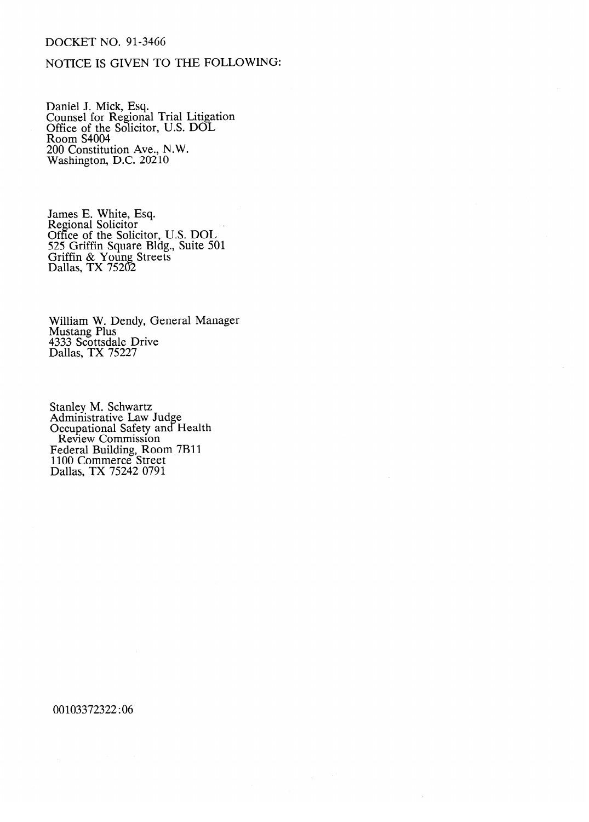## DOCKET NO. 91-3466

## NOTICE IS GIVEN TO THE FOLLOWING:

Daniel J. Mick, Esq. Counsel for Regional Trial Litigation Office of the Solicitor, U.S. DOL Room S4004 200 Constitution Ave., N.W. Washington, D.C. 20210

James E. White, Esq.<br>Regional Solicitor Regional Solicitor<br>Office of the Soli Office of the Solicitor, U.S. DOL<br>525 Criffin Souare Bldg Suite 501 525 Griffin Square Blhg., Suite 501 OTHIM & Toung Streets  $D$ anas, T $\Lambda$  75202

William W. Dendy, General Manager<br>Mustang Plus mustung 1 103<br>4333 Scottsda  $231$  Dallas, TX 75227  $D$  and  $D$ ,  $T$   $T$   $T$   $T$   $T$   $T$ 

Administrative Law **Occupational Safety and** Review Commission e ederal Building, Ro 1100 Commerce Street Dallas, TX 75242 0791

00103372322:06

 $\hat{\mathcal{L}}$ 

 $\mathcal{L}$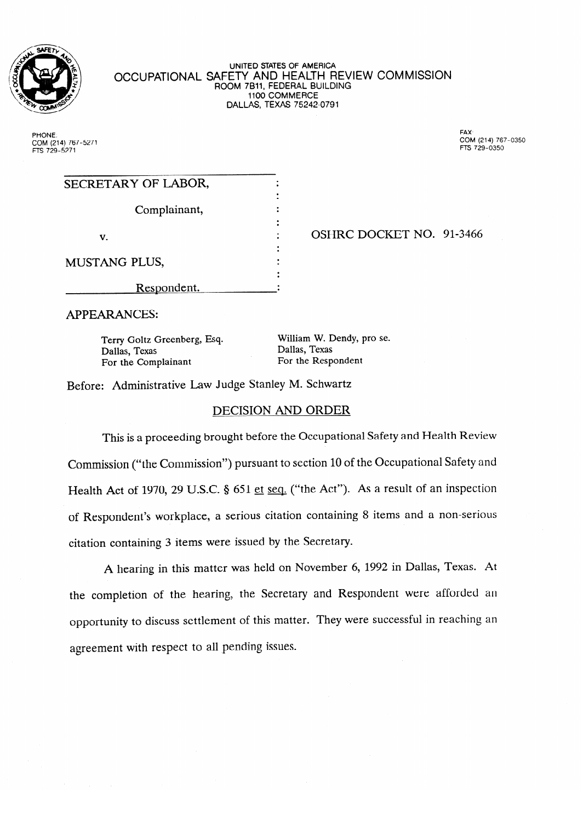

UNITED SIATES OF AMERICA OCCUPATIONAL SAFETT AND HEALTH REVIEW COMMISSION ROOM 7B11, FEDERAL BUILDING<br>1100 COMMERCE **1100 COMMERCE**  $D$ 

PHONE. COM (214) 767-5271<br>FTS 729-5271 **FAX** COM (214) 767-0350 **FTS 729-0350** 

| SECRETARY OF LABOR,  |  |                          |
|----------------------|--|--------------------------|
| Complainant,         |  |                          |
| v.                   |  | OSHRC DOCKET NO. 91-3466 |
| <b>MUSTANG PLUS,</b> |  |                          |
| Respondent.          |  |                          |

**APPEARANCES:** 

Text Greenberg, Text Greenberg, Collar Ballas, Text Greenberg, 2011<br>
The Complainant For the Respondent For the Complainant

William W. Dendy, pro se.

Before: Administrative Law Judge Stanley M. Schwartz

## DECISION AND ORDER

This is a proceeding brought before the Occupational Safety and Health Review Commission ("the Commission") pursuant to section 10 of the Occupational Safety and Health Act of 1970, 29 U.S.C. § 651 et seq. ("the Act"). As a result of an inspection of Respondent's workplace, a serious citation containing 8 items and a non-serious citation containing 3 items were issued by the Secretary.

A hearing in this matter was held on November 6, 1992 in Dallas, Texas. At the completion of the hearing, the Secretary and Respondent were afforded an opportunity to discuss settlement of this matter. They were successful in reaching an agreement with respect to all pending issues.